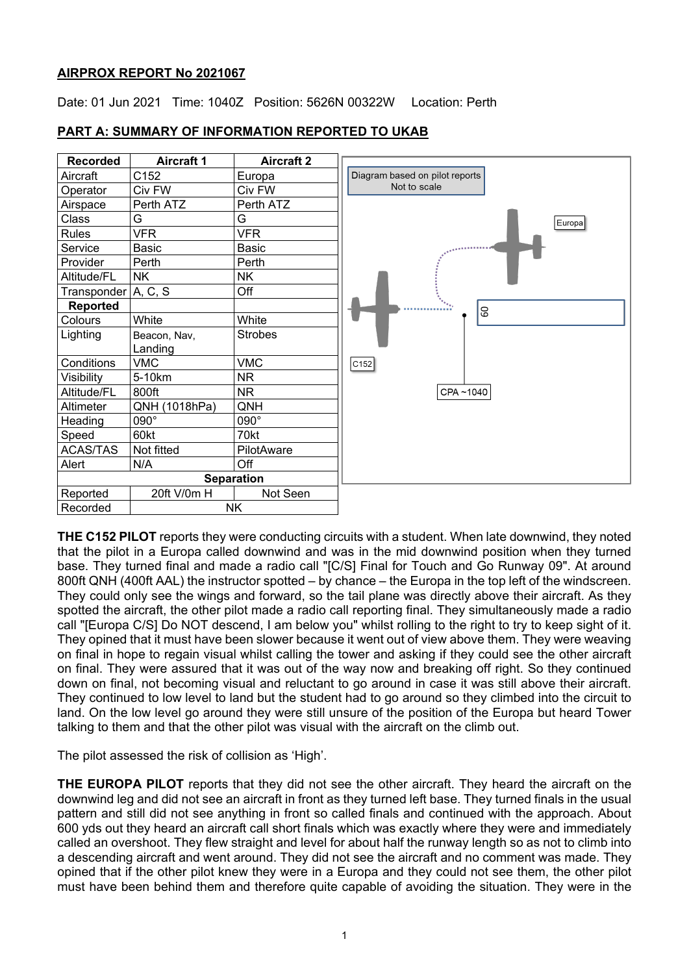# **AIRPROX REPORT No 2021067**

Date: 01 Jun 2021 Time: 1040Z Position: 5626N 00322W Location: Perth



# **PART A: SUMMARY OF INFORMATION REPORTED TO UKAB**

**THE C152 PILOT** reports they were conducting circuits with a student. When late downwind, they noted that the pilot in a Europa called downwind and was in the mid downwind position when they turned base. They turned final and made a radio call "[C/S] Final for Touch and Go Runway 09". At around 800ft QNH (400ft AAL) the instructor spotted – by chance – the Europa in the top left of the windscreen. They could only see the wings and forward, so the tail plane was directly above their aircraft. As they spotted the aircraft, the other pilot made a radio call reporting final. They simultaneously made a radio call "[Europa C/S] Do NOT descend, I am below you" whilst rolling to the right to try to keep sight of it. They opined that it must have been slower because it went out of view above them. They were weaving on final in hope to regain visual whilst calling the tower and asking if they could see the other aircraft on final. They were assured that it was out of the way now and breaking off right. So they continued down on final, not becoming visual and reluctant to go around in case it was still above their aircraft. They continued to low level to land but the student had to go around so they climbed into the circuit to land. On the low level go around they were still unsure of the position of the Europa but heard Tower talking to them and that the other pilot was visual with the aircraft on the climb out.

The pilot assessed the risk of collision as 'High'.

**THE EUROPA PILOT** reports that they did not see the other aircraft. They heard the aircraft on the downwind leg and did not see an aircraft in front as they turned left base. They turned finals in the usual pattern and still did not see anything in front so called finals and continued with the approach. About 600 yds out they heard an aircraft call short finals which was exactly where they were and immediately called an overshoot. They flew straight and level for about half the runway length so as not to climb into a descending aircraft and went around. They did not see the aircraft and no comment was made. They opined that if the other pilot knew they were in a Europa and they could not see them, the other pilot must have been behind them and therefore quite capable of avoiding the situation. They were in the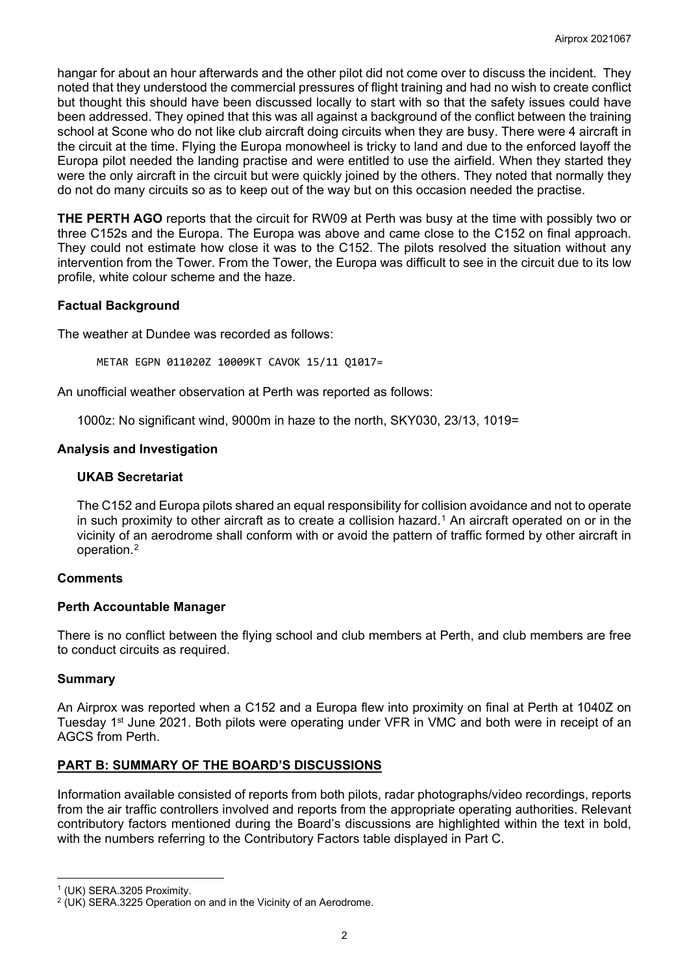hangar for about an hour afterwards and the other pilot did not come over to discuss the incident. They noted that they understood the commercial pressures of flight training and had no wish to create conflict but thought this should have been discussed locally to start with so that the safety issues could have been addressed. They opined that this was all against a background of the conflict between the training school at Scone who do not like club aircraft doing circuits when they are busy. There were 4 aircraft in the circuit at the time. Flying the Europa monowheel is tricky to land and due to the enforced layoff the Europa pilot needed the landing practise and were entitled to use the airfield. When they started they were the only aircraft in the circuit but were quickly joined by the others. They noted that normally they do not do many circuits so as to keep out of the way but on this occasion needed the practise.

**THE PERTH AGO** reports that the circuit for RW09 at Perth was busy at the time with possibly two or three C152s and the Europa. The Europa was above and came close to the C152 on final approach. They could not estimate how close it was to the C152. The pilots resolved the situation without any intervention from the Tower. From the Tower, the Europa was difficult to see in the circuit due to its low profile, white colour scheme and the haze.

# **Factual Background**

The weather at Dundee was recorded as follows:

METAR EGPN 011020Z 10009KT CAVOK 15/11 Q1017=

An unofficial weather observation at Perth was reported as follows:

1000z: No significant wind, 9000m in haze to the north, SKY030, 23/13, 1019=

#### **Analysis and Investigation**

#### **UKAB Secretariat**

The C152 and Europa pilots shared an equal responsibility for collision avoidance and not to operate in such proximity to other aircraft as to create a collision hazard.<sup>[1](#page-1-0)</sup> An aircraft operated on or in the vicinity of an aerodrome shall conform with or avoid the pattern of traffic formed by other aircraft in operation.[2](#page-1-1)

# **Comments**

# **Perth Accountable Manager**

There is no conflict between the flying school and club members at Perth, and club members are free to conduct circuits as required.

# **Summary**

An Airprox was reported when a C152 and a Europa flew into proximity on final at Perth at 1040Z on Tuesday 1<sup>st</sup> June 2021. Both pilots were operating under VFR in VMC and both were in receipt of an AGCS from Perth.

# **PART B: SUMMARY OF THE BOARD'S DISCUSSIONS**

Information available consisted of reports from both pilots, radar photographs/video recordings, reports from the air traffic controllers involved and reports from the appropriate operating authorities. Relevant contributory factors mentioned during the Board's discussions are highlighted within the text in bold, with the numbers referring to the Contributory Factors table displayed in Part C.

<span id="page-1-0"></span><sup>1</sup> (UK) SERA.3205 Proximity.

<span id="page-1-1"></span> $2$  (UK) SERA.3225 Operation on and in the Vicinity of an Aerodrome.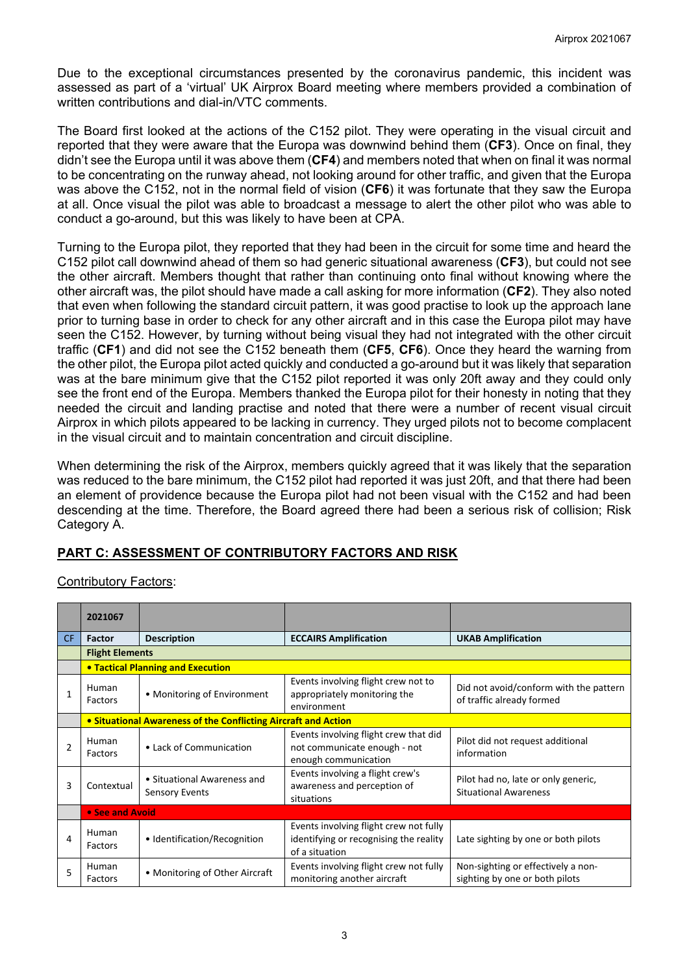Due to the exceptional circumstances presented by the coronavirus pandemic, this incident was assessed as part of a 'virtual' UK Airprox Board meeting where members provided a combination of written contributions and dial-in/VTC comments.

The Board first looked at the actions of the C152 pilot. They were operating in the visual circuit and reported that they were aware that the Europa was downwind behind them (**CF3**). Once on final, they didn't see the Europa until it was above them (**CF4**) and members noted that when on final it was normal to be concentrating on the runway ahead, not looking around for other traffic, and given that the Europa was above the C152, not in the normal field of vision (**CF6**) it was fortunate that they saw the Europa at all. Once visual the pilot was able to broadcast a message to alert the other pilot who was able to conduct a go-around, but this was likely to have been at CPA.

Turning to the Europa pilot, they reported that they had been in the circuit for some time and heard the C152 pilot call downwind ahead of them so had generic situational awareness (**CF3**), but could not see the other aircraft. Members thought that rather than continuing onto final without knowing where the other aircraft was, the pilot should have made a call asking for more information (**CF2**). They also noted that even when following the standard circuit pattern, it was good practise to look up the approach lane prior to turning base in order to check for any other aircraft and in this case the Europa pilot may have seen the C152. However, by turning without being visual they had not integrated with the other circuit traffic (**CF1**) and did not see the C152 beneath them (**CF5**, **CF6**). Once they heard the warning from the other pilot, the Europa pilot acted quickly and conducted a go-around but it was likely that separation was at the bare minimum give that the C152 pilot reported it was only 20ft away and they could only see the front end of the Europa. Members thanked the Europa pilot for their honesty in noting that they needed the circuit and landing practise and noted that there were a number of recent visual circuit Airprox in which pilots appeared to be lacking in currency. They urged pilots not to become complacent in the visual circuit and to maintain concentration and circuit discipline.

When determining the risk of the Airprox, members quickly agreed that it was likely that the separation was reduced to the bare minimum, the C152 pilot had reported it was just 20ft, and that there had been an element of providence because the Europa pilot had not been visual with the C152 and had been descending at the time. Therefore, the Board agreed there had been a serious risk of collision; Risk Category A.

# **PART C: ASSESSMENT OF CONTRIBUTORY FACTORS AND RISK**

# Contributory Factors:

|                | 2021067                |                                                                |                                                                                                    |                                                                      |  |  |  |  |  |  |
|----------------|------------------------|----------------------------------------------------------------|----------------------------------------------------------------------------------------------------|----------------------------------------------------------------------|--|--|--|--|--|--|
| CF.            | Factor                 | <b>Description</b>                                             | <b>ECCAIRS Amplification</b>                                                                       | <b>UKAB Amplification</b>                                            |  |  |  |  |  |  |
|                | <b>Flight Elements</b> |                                                                |                                                                                                    |                                                                      |  |  |  |  |  |  |
|                |                        | <b>• Tactical Planning and Execution</b>                       |                                                                                                    |                                                                      |  |  |  |  |  |  |
| 1              | Human<br>Factors       | • Monitoring of Environment                                    | Events involving flight crew not to<br>appropriately monitoring the<br>environment                 | Did not avoid/conform with the pattern<br>of traffic already formed  |  |  |  |  |  |  |
|                |                        | • Situational Awareness of the Conflicting Aircraft and Action |                                                                                                    |                                                                      |  |  |  |  |  |  |
| $\overline{2}$ | Human<br>Factors       | • Lack of Communication                                        | Events involving flight crew that did<br>not communicate enough - not<br>enough communication      | Pilot did not request additional<br>information                      |  |  |  |  |  |  |
| 3              | Contextual             | • Situational Awareness and<br><b>Sensory Events</b>           | Events involving a flight crew's<br>awareness and perception of<br>situations                      | Pilot had no, late or only generic,<br><b>Situational Awareness</b>  |  |  |  |  |  |  |
|                |                        | • See and Avoid                                                |                                                                                                    |                                                                      |  |  |  |  |  |  |
| 4              | Human<br>Factors       | • Identification/Recognition                                   | Events involving flight crew not fully<br>identifying or recognising the reality<br>of a situation | Late sighting by one or both pilots                                  |  |  |  |  |  |  |
| 5              | Human<br>Factors       | • Monitoring of Other Aircraft                                 | Events involving flight crew not fully<br>monitoring another aircraft                              | Non-sighting or effectively a non-<br>sighting by one or both pilots |  |  |  |  |  |  |